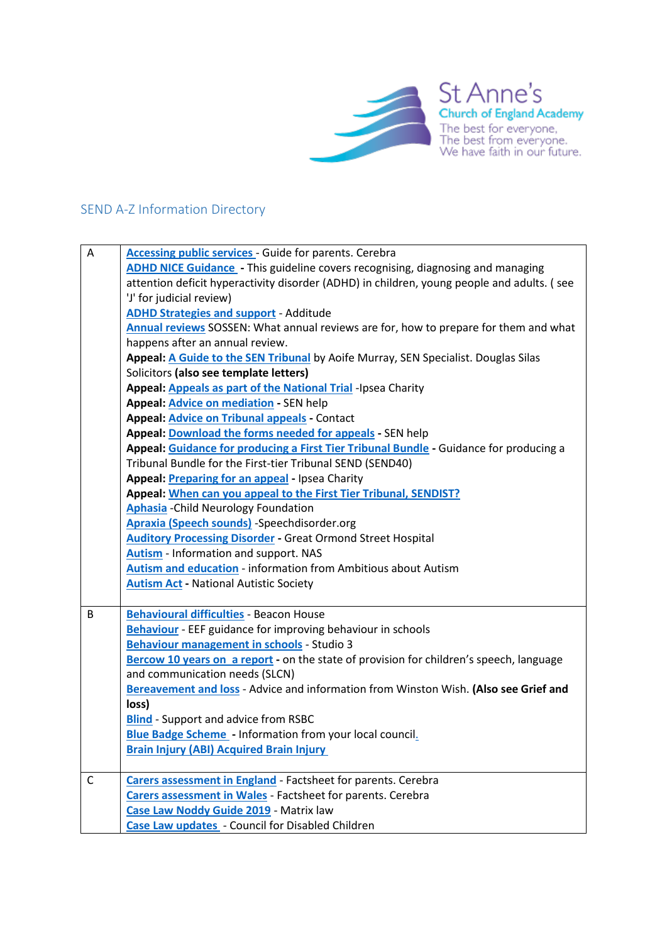

## SEND A-Z Information Directory

| A | Accessing public services - Guide for parents. Cerebra                                     |
|---|--------------------------------------------------------------------------------------------|
|   | ADHD NICE Guidance - This guideline covers recognising, diagnosing and managing            |
|   | attention deficit hyperactivity disorder (ADHD) in children, young people and adults. (see |
|   | 'J' for judicial review)                                                                   |
|   | <b>ADHD Strategies and support - Additude</b>                                              |
|   | Annual reviews SOSSEN: What annual reviews are for, how to prepare for them and what       |
|   | happens after an annual review.                                                            |
|   | Appeal: A Guide to the SEN Tribunal by Aoife Murray, SEN Specialist. Douglas Silas         |
|   | Solicitors (also see template letters)                                                     |
|   | Appeal: Appeals as part of the National Trial -Ipsea Charity                               |
|   | Appeal: <b>Advice on mediation</b> - SEN help                                              |
|   | Appeal: Advice on Tribunal appeals - Contact                                               |
|   | Appeal: Download the forms needed for appeals - SEN help                                   |
|   | Appeal: Guidance for producing a First Tier Tribunal Bundle - Guidance for producing a     |
|   | Tribunal Bundle for the First-tier Tribunal SEND (SEND40)                                  |
|   | Appeal: Preparing for an appeal - Ipsea Charity                                            |
|   | Appeal: When can you appeal to the First Tier Tribunal, SENDIST?                           |
|   | <b>Aphasia</b> - Child Neurology Foundation                                                |
|   | <b>Apraxia (Speech sounds)</b> -Speechdisorder.org                                         |
|   | <b>Auditory Processing Disorder - Great Ormond Street Hospital</b>                         |
|   | <b>Autism</b> - Information and support. NAS                                               |
|   | <b>Autism and education - information from Ambitious about Autism</b>                      |
|   | <b>Autism Act - National Autistic Society</b>                                              |
|   |                                                                                            |
| B | <b>Behavioural difficulties - Beacon House</b>                                             |
|   | <b>Behaviour</b> - EEF guidance for improving behaviour in schools                         |
|   | Behaviour management in schools - Studio 3                                                 |
|   | Bercow 10 years on a report - on the state of provision for children's speech, language    |
|   | and communication needs (SLCN)                                                             |
|   | Bereavement and loss - Advice and information from Winston Wish. (Also see Grief and       |
|   | loss)                                                                                      |
|   | <b>Blind</b> - Support and advice from RSBC                                                |
|   | <b>Blue Badge Scheme</b> - Information from your local council.                            |
|   | <b>Brain Injury (ABI) Acquired Brain Injury</b>                                            |
| C | <b>Carers assessment in England - Factsheet for parents. Cerebra</b>                       |
|   | <b>Carers assessment in Wales - Factsheet for parents. Cerebra</b>                         |
|   | Case Law Noddy Guide 2019 - Matrix law                                                     |
|   | Case Law updates - Council for Disabled Children                                           |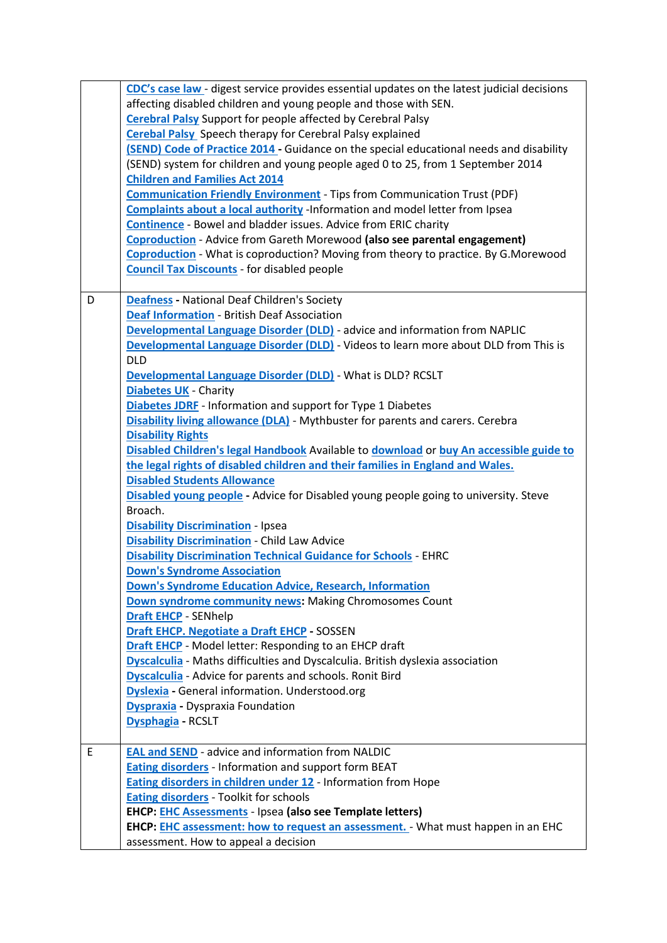| CDC's case law - digest service provides essential updates on the latest judicial decisions |  |
|---------------------------------------------------------------------------------------------|--|
| affecting disabled children and young people and those with SEN.                            |  |
| <b>Cerebral Palsy Support for people affected by Cerebral Palsy</b>                         |  |
| <b>Cerebal Palsy</b> Speech therapy for Cerebral Palsy explained                            |  |
| (SEND) Code of Practice 2014 - Guidance on the special educational needs and disability     |  |
| (SEND) system for children and young people aged 0 to 25, from 1 September 2014             |  |
| <b>Children and Families Act 2014</b>                                                       |  |
| <b>Communication Friendly Environment</b> - Tips from Communication Trust (PDF)             |  |
| Complaints about a local authority -Information and model letter from Ipsea                 |  |
| <b>Continence</b> - Bowel and bladder issues. Advice from ERIC charity                      |  |
| <b>Coproduction - Advice from Gareth Morewood (also see parental engagement)</b>            |  |
| Coproduction - What is coproduction? Moving from theory to practice. By G.Morewood          |  |
| <b>Council Tax Discounts - for disabled people</b>                                          |  |
|                                                                                             |  |
| <b>Deafness</b> - National Deaf Children's Society<br>D                                     |  |
| <b>Deaf Information - British Deaf Association</b>                                          |  |
| <b>Developmental Language Disorder (DLD)</b> - advice and information from NAPLIC           |  |
| Developmental Language Disorder (DLD) - Videos to learn more about DLD from This is         |  |
| <b>DLD</b>                                                                                  |  |
| Developmental Language Disorder (DLD) - What is DLD? RCSLT                                  |  |
| <b>Diabetes UK - Charity</b>                                                                |  |
| <b>Diabetes JDRF</b> - Information and support for Type 1 Diabetes                          |  |
| <b>Disability living allowance (DLA)</b> - Mythbuster for parents and carers. Cerebra       |  |
| <b>Disability Rights</b>                                                                    |  |
| Disabled Children's legal Handbook Available to download or buy An accessible guide to      |  |
| the legal rights of disabled children and their families in England and Wales.              |  |
| <b>Disabled Students Allowance</b>                                                          |  |
| Disabled young people - Advice for Disabled young people going to university. Steve         |  |
| Broach.                                                                                     |  |
| <b>Disability Discrimination - Ipsea</b>                                                    |  |
| <b>Disability Discrimination - Child Law Advice</b>                                         |  |
| <b>Disability Discrimination Technical Guidance for Schools - EHRC</b>                      |  |
| <b>Down's Syndrome Association</b>                                                          |  |
| Down's Syndrome Education Advice, Research, Information                                     |  |
| Down syndrome community news: Making Chromosomes Count                                      |  |
| <b>Draft EHCP - SENhelp</b>                                                                 |  |
| <b>Draft EHCP. Negotiate a Draft EHCP - SOSSEN</b>                                          |  |
| Draft EHCP - Model letter: Responding to an EHCP draft                                      |  |
| <b>Dyscalculia</b> - Maths difficulties and Dyscalculia. British dyslexia association       |  |
| <b>Dyscalculia</b> - Advice for parents and schools. Ronit Bird                             |  |
| <b>Dyslexia</b> - General information. Understood.org                                       |  |
| <b>Dyspraxia - Dyspraxia Foundation</b>                                                     |  |
| Dysphagia - RCSLT                                                                           |  |
|                                                                                             |  |
| <b>EAL and SEND - advice and information from NALDIC</b><br>E                               |  |
| <b>Eating disorders</b> - Information and support form BEAT                                 |  |
| <b>Eating disorders in children under 12 - Information from Hope</b>                        |  |
| <b>Eating disorders</b> - Toolkit for schools                                               |  |
| EHCP: EHC Assessments - Ipsea (also see Template letters)                                   |  |
| EHCP: EHC assessment: how to request an assessment. - What must happen in an EHC            |  |
| assessment. How to appeal a decision                                                        |  |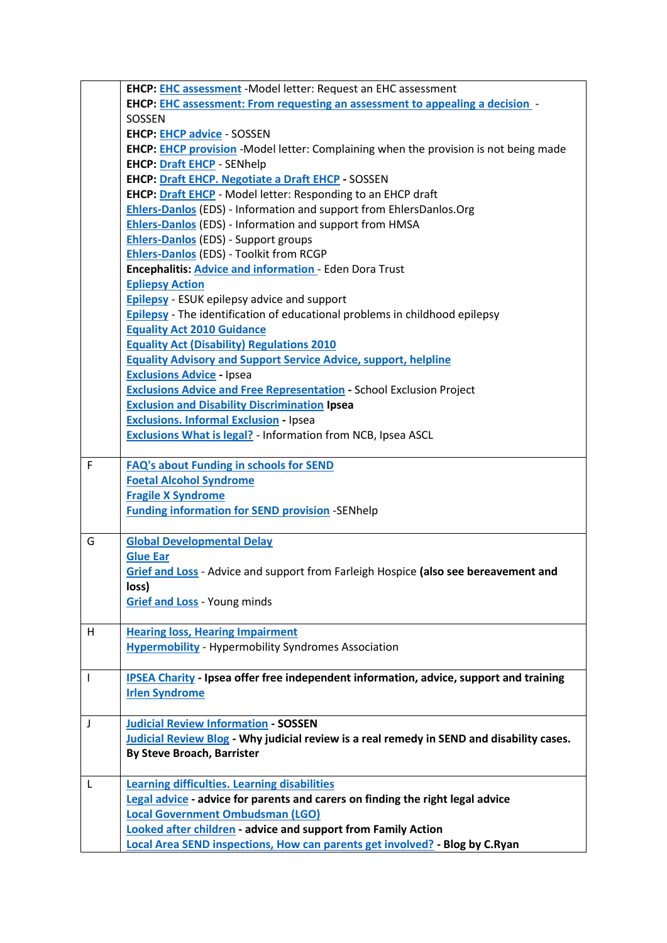|   | <b>EHCP: EHC assessment</b> - Model letter: Request an EHC assessment                         |
|---|-----------------------------------------------------------------------------------------------|
|   | EHCP: EHC assessment: From requesting an assessment to appealing a decision -                 |
|   | SOSSEN                                                                                        |
|   | <b>EHCP: EHCP advice - SOSSEN</b>                                                             |
|   | EHCP: EHCP provision -Model letter: Complaining when the provision is not being made          |
|   | <b>EHCP: Draft EHCP - SENhelp</b>                                                             |
|   | <b>EHCP: Draft EHCP. Negotiate a Draft EHCP - SOSSEN</b>                                      |
|   | <b>EHCP: Draft EHCP</b> - Model letter: Responding to an EHCP draft                           |
|   | Ehlers-Danlos (EDS) - Information and support from EhlersDanlos.Org                           |
|   | Ehlers-Danlos (EDS) - Information and support from HMSA                                       |
|   | <b>Ehlers-Danlos (EDS) - Support groups</b>                                                   |
|   | <b>Ehlers-Danlos</b> (EDS) - Toolkit from RCGP                                                |
|   | Encephalitis: <b>Advice and information</b> - Eden Dora Trust                                 |
|   | <b>Epliepsy Action</b>                                                                        |
|   | <b>Epilepsy</b> - ESUK epilepsy advice and support                                            |
|   | <b>Epilepsy</b> - The identification of educational problems in childhood epilepsy            |
|   | <b>Equality Act 2010 Guidance</b>                                                             |
|   | <b>Equality Act (Disability) Regulations 2010</b>                                             |
|   | <b>Equality Advisory and Support Service Advice, support, helpline</b>                        |
|   | <b>Exclusions Advice - Ipsea</b>                                                              |
|   | <b>Exclusions Advice and Free Representation - School Exclusion Project</b>                   |
|   | <b>Exclusion and Disability Discrimination Ipsea</b>                                          |
|   | <b>Exclusions. Informal Exclusion - Ipsea</b>                                                 |
|   | Exclusions What is legal? - Information from NCB, Ipsea ASCL                                  |
|   |                                                                                               |
| F | <b>FAQ's about Funding in schools for SEND</b>                                                |
|   | <b>Foetal Alcohol Syndrome</b>                                                                |
|   | <b>Fragile X Syndrome</b>                                                                     |
|   | <b>Funding information for SEND provision -SENhelp</b>                                        |
|   |                                                                                               |
| G | <b>Global Developmental Delay</b>                                                             |
|   | <b>Glue Ear</b>                                                                               |
|   | Grief and Loss - Advice and support from Farleigh Hospice (also see bereavement and           |
|   | loss)                                                                                         |
|   | <b>Grief and Loss</b> - Young minds                                                           |
|   |                                                                                               |
| H | <b>Hearing loss, Hearing Impairment</b>                                                       |
|   | <b>Hypermobility</b> - Hypermobility Syndromes Association                                    |
|   |                                                                                               |
| T | <b>IPSEA Charity - Ipsea offer free independent information, advice, support and training</b> |
|   | <b>Irlen Syndrome</b>                                                                         |
|   |                                                                                               |
| J | <b>Judicial Review Information - SOSSEN</b>                                                   |
|   | Judicial Review Blog - Why judicial review is a real remedy in SEND and disability cases.     |
|   | <b>By Steve Broach, Barrister</b>                                                             |
|   |                                                                                               |
| L | <b>Learning difficulties. Learning disabilities</b>                                           |
|   | Legal advice - advice for parents and carers on finding the right legal advice                |
|   | <b>Local Government Ombudsman (LGO)</b>                                                       |
|   | <b>Looked after children - advice and support from Family Action</b>                          |
|   | Local Area SEND inspections, How can parents get involved? - Blog by C.Ryan                   |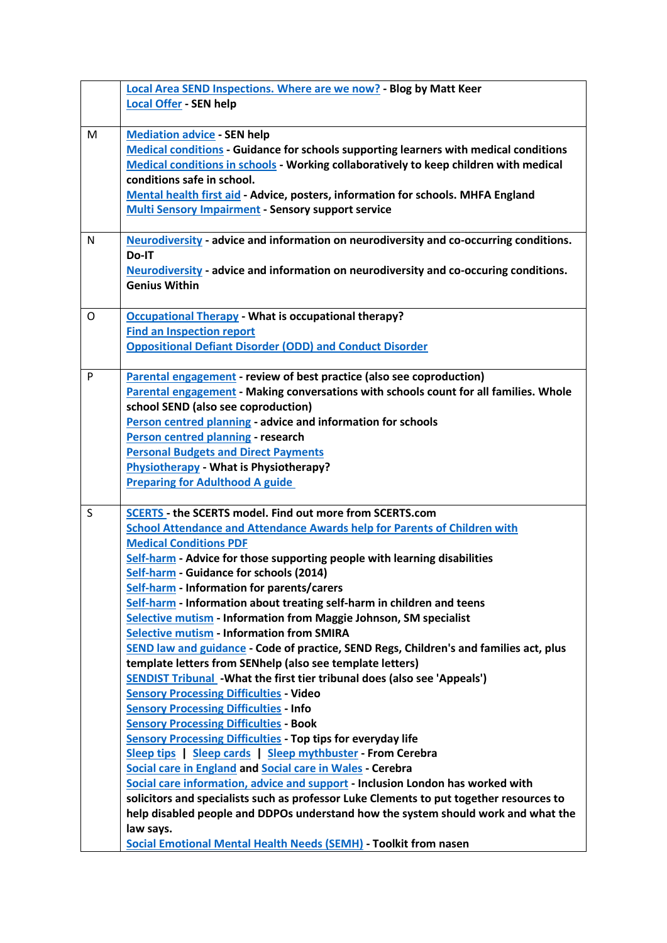|   | <b>Local Area SEND Inspections. Where are we now? - Blog by Matt Keer</b>                                                                     |
|---|-----------------------------------------------------------------------------------------------------------------------------------------------|
|   | <b>Local Offer - SEN help</b>                                                                                                                 |
|   |                                                                                                                                               |
| M | <b>Mediation advice - SEN help</b>                                                                                                            |
|   | <b>Medical conditions - Guidance for schools supporting learners with medical conditions</b>                                                  |
|   | Medical conditions in schools - Working collaboratively to keep children with medical                                                         |
|   | conditions safe in school.                                                                                                                    |
|   | Mental health first aid - Advice, posters, information for schools. MHFA England                                                              |
|   | <b>Multi Sensory Impairment - Sensory support service</b>                                                                                     |
|   |                                                                                                                                               |
| N | Neurodiversity - advice and information on neurodiversity and co-occurring conditions.                                                        |
|   | Do-IT                                                                                                                                         |
|   | Neurodiversity - advice and information on neurodiversity and co-occuring conditions.                                                         |
|   | <b>Genius Within</b>                                                                                                                          |
| O |                                                                                                                                               |
|   | <b>Occupational Therapy - What is occupational therapy?</b><br><b>Find an Inspection report</b>                                               |
|   | <b>Oppositional Defiant Disorder (ODD) and Conduct Disorder</b>                                                                               |
|   |                                                                                                                                               |
| P | Parental engagement - review of best practice (also see coproduction)                                                                         |
|   | Parental engagement - Making conversations with schools count for all families. Whole                                                         |
|   | school SEND (also see coproduction)                                                                                                           |
|   | Person centred planning - advice and information for schools                                                                                  |
|   | Person centred planning - research                                                                                                            |
|   | <b>Personal Budgets and Direct Payments</b>                                                                                                   |
|   | <b>Physiotherapy</b> - What is Physiotherapy?                                                                                                 |
|   | <b>Preparing for Adulthood A guide</b>                                                                                                        |
|   |                                                                                                                                               |
| S | <b>SCERTS - the SCERTS model. Find out more from SCERTS.com</b>                                                                               |
|   | <b>School Attendance and Attendance Awards help for Parents of Children with</b>                                                              |
|   | <b>Medical Conditions PDF</b>                                                                                                                 |
|   | Self-harm - Advice for those supporting people with learning disabilities                                                                     |
|   | Self-harm - Guidance for schools (2014)                                                                                                       |
|   | Self-harm - Information for parents/carers                                                                                                    |
|   | Self-harm - Information about treating self-harm in children and teens                                                                        |
|   | Selective mutism - Information from Maggie Johnson, SM specialist                                                                             |
|   | <b>Selective mutism - Information from SMIRA</b>                                                                                              |
|   | SEND law and guidance - Code of practice, SEND Regs, Children's and families act, plus                                                        |
|   | template letters from SENhelp (also see template letters)<br><b>SENDIST Tribunal</b> - What the first tier tribunal does (also see 'Appeals') |
|   | <b>Sensory Processing Difficulties - Video</b>                                                                                                |
|   | <b>Sensory Processing Difficulties - Info</b>                                                                                                 |
|   | <b>Sensory Processing Difficulties - Book</b>                                                                                                 |
|   | <b>Sensory Processing Difficulties - Top tips for everyday life</b>                                                                           |
|   | Sleep tips   Sleep cards   Sleep mythbuster - From Cerebra                                                                                    |
|   | Social care in England and Social care in Wales - Cerebra                                                                                     |
|   | Social care information, advice and support - Inclusion London has worked with                                                                |
|   | solicitors and specialists such as professor Luke Clements to put together resources to                                                       |
|   | help disabled people and DDPOs understand how the system should work and what the                                                             |
|   | law says.                                                                                                                                     |
|   | Social Emotional Mental Health Needs (SEMH) - Toolkit from nasen                                                                              |